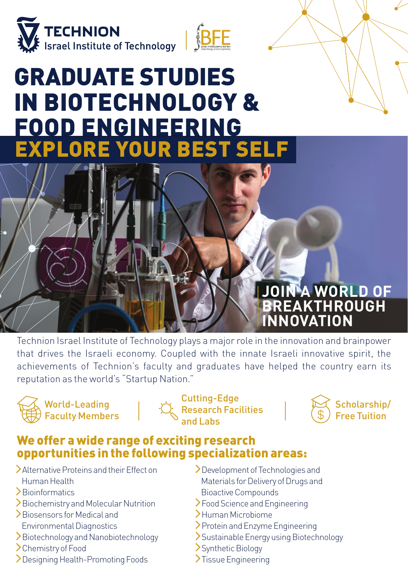

# GRADUATE STUDIES IN BIOTECHNOLOGY & FOOD ENGINEERING EXPLORE YOUR BEST SELF

# **JOIN A WORLD OF BREAKTHROUGH INNOVATION**

Technion Israel Institute of Technology plays a major role in the innovation and brainpower that drives the Israeli economy. Coupled with the innate Israeli innovative spirit, the achievements of Technion's faculty and graduates have helped the country earn its reputation as the world's "Startup Nation."



Cutting-Edge Research Facilities and Labs



### We offer a wide range of exciting research opportunities in the following specialization areas:

- Alternative Proteins and their Effect on Human Health
- Bioinformatics
- Biochemistry and Molecular Nutrition
- Biosensors for Medical and Environmental Diagnostics
- Biotechnology and Nanobiotechnology
- >Chemistry of Food
- Designing Health-Promoting Foods
- >Development of Technologies and Materials for Delivery of Drugs and Bioactive Compounds
- Food Science and Engineering
- Human Microbiome
- Protein and Enzyme Engineering
- Sustainable Energy using Biotechnology
- Synthetic Biology
- >Tissue Engineering